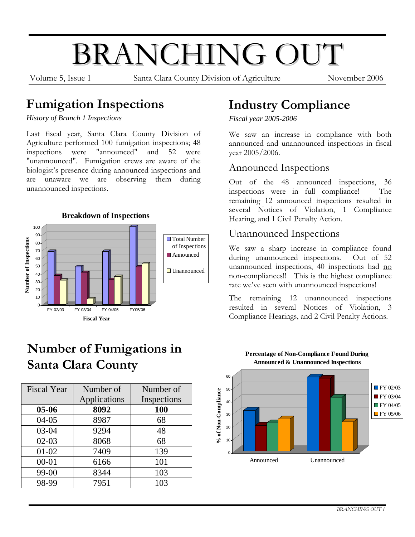# BRANCHING OUT

Volume 5, Issue 1 Santa Clara County Division of Agriculture November 2006

#### **Fumigation Inspections**

*History of Branch 1 Inspections* 

Last fiscal year, Santa Clara County Division of Agriculture performed 100 fumigation inspections; 48 inspections were "announced" and 52 were "unannounced". Fumigation crews are aware of the biologist's presence during announced inspections and are unaware we are observing them during unannounced inspections.



## **Number of Fumigations in Santa Clara County**

| <b>Fiscal Year</b> | Number of    | Number of   |  |
|--------------------|--------------|-------------|--|
|                    | Applications | Inspections |  |
| $05 - 06$          | 8092         | <b>100</b>  |  |
| $04-05$            | 8987         | 68          |  |
| 03-04              | 9294         | 48          |  |
| $02-03$            | 8068         | 68          |  |
| $01-02$            | 7409         | 139         |  |
| $00 - 01$          | 6166         | 101         |  |
| 99-00              | 8344         | 103         |  |
| 98-99              | 7951         | 103         |  |

## **Industry Compliance**

*Fiscal year 2005-2006* 

We saw an increase in compliance with both announced and unannounced inspections in fiscal year 2005/2006.

#### Announced Inspections

Out of the 48 announced inspections, 36 inspections were in full compliance! The remaining 12 announced inspections resulted in several Notices of Violation, 1 Compliance Hearing, and 1 Civil Penalty Action.

#### Unannounced Inspections

We saw a sharp increase in compliance found during unannounced inspections. Out of 52 unannounced inspections, 40 inspections had no non-compliances!! This is the highest compliance rate we've seen with unannounced inspections!

The remaining 12 unannounced inspections resulted in several Notices of Violation, 3 Compliance Hearings, and 2 Civil Penalty Actions.

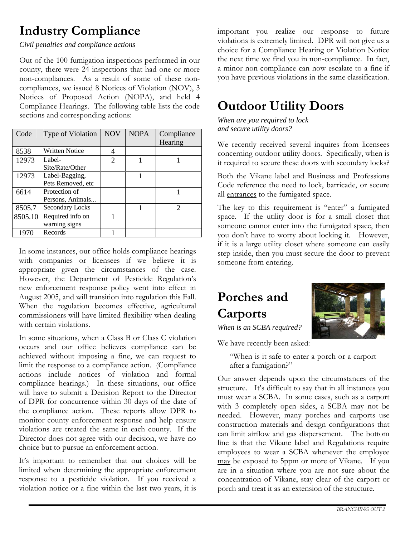## **Industry Compliance**

*Civil penalties and compliance actions* 

Out of the 100 fumigation inspections performed in our county, there were 24 inspections that had one or more non-compliances. As a result of some of these noncompliances, we issued 8 Notices of Violation (NOV), 3 Notices of Proposed Action (NOPA), and held 4 Compliance Hearings. The following table lists the code sections and corresponding actions:

| Code    | Type of Violation      | <b>NOV</b>            | <b>NOPA</b> | Compliance                  |
|---------|------------------------|-----------------------|-------------|-----------------------------|
|         |                        |                       |             | Hearing                     |
| 8538    | <b>Written Notice</b>  |                       |             |                             |
| 12973   | Label-                 | $\mathcal{D}_{\cdot}$ |             |                             |
|         | Site/Rate/Other        |                       |             |                             |
| 12973   | Label-Bagging,         |                       |             |                             |
|         | Pets Removed, etc      |                       |             |                             |
| 6614    | Protection of          |                       |             |                             |
|         | Persons, Animals       |                       |             |                             |
| 8505.7  | <b>Secondary Locks</b> |                       |             | $\mathcal{D}_{\mathcal{A}}$ |
| 8505.10 | Required info on       |                       |             |                             |
|         | warning signs          |                       |             |                             |
| 1970    | Records                |                       |             |                             |

In some instances, our office holds compliance hearings with companies or licensees if we believe it is appropriate given the circumstances of the case. However, the Department of Pesticide Regulation's new enforcement response policy went into effect in August 2005, and will transition into regulation this Fall. When the regulation becomes effective, agricultural commissioners will have limited flexibility when dealing with certain violations.

In some situations, when a Class B or Class C violation occurs and our office believes compliance can be achieved without imposing a fine, we can request to limit the response to a compliance action. (Compliance actions include notices of violation and formal compliance hearings.) In these situations, our office will have to submit a Decision Report to the Director of DPR for concurrence within 30 days of the date of the compliance action. These reports allow DPR to monitor county enforcement response and help ensure violations are treated the same in each county. If the Director does not agree with our decision, we have no choice but to pursue an enforcement action.

It's important to remember that our choices will be limited when determining the appropriate enforcement response to a pesticide violation. If you received a violation notice or a fine within the last two years, it is

important you realize our response to future violations is extremely limited. DPR will not give us a choice for a Compliance Hearing or Violation Notice the next time we find you in non-compliance. In fact, a minor non-compliance can now escalate to a fine if you have previous violations in the same classification.

## **Outdoor Utility Doors**

*When are you required to lock and secure utility doors?* 

We recently received several inquires from licensees concerning outdoor utility doors. Specifically, when is it required to secure these doors with secondary locks?

Both the Vikane label and Business and Professions Code reference the need to lock, barricade, or secure all entrances to the fumigated space.

The key to this requirement is "enter" a fumigated space. If the utility door is for a small closet that someone cannot enter into the fumigated space, then you don't have to worry about locking it. However, if it is a large utility closet where someone can easily step inside, then you must secure the door to prevent someone from entering.

## **Porches and Carports**



We have recently been asked:

"When is it safe to enter a porch or a carport after a fumigation?"

Our answer depends upon the circumstances of the structure. It's difficult to say that in all instances you must wear a SCBA. In some cases, such as a carport with 3 completely open sides, a SCBA may not be needed. However, many porches and carports use construction materials and design configurations that can limit airflow and gas dispersement. The bottom line is that the Vikane label and Regulations require employees to wear a SCBA whenever the employee may be exposed to 5ppm or more of Vikane. If you are in a situation where you are not sure about the concentration of Vikane, stay clear of the carport or porch and treat it as an extension of the structure.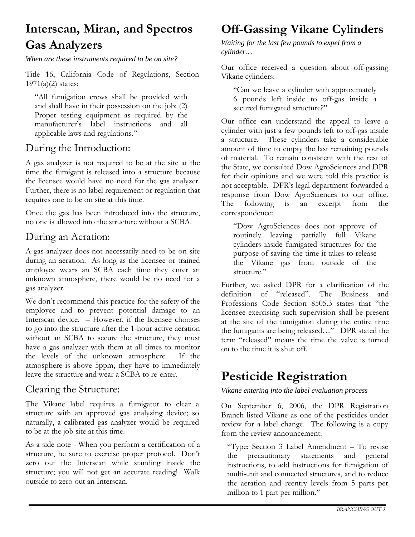## **Interscan, Miran, and Spectros Gas Analyzers**

*When are these instruments required to be on site?* 

Title 16, California Code of Regulations, Section  $1971(a)(2)$  states:

"All fumigation crews shall be provided with and shall have in their possession on the job: (2) Proper testing equipment as required by the manufacturer's label instructions and all applicable laws and regulations."

#### During the Introduction:

A gas analyzer is not required to be at the site at the time the fumigant is released into a structure because the licensee would have no need for the gas analyzer. Further, there is no label requirement or regulation that requires one to be on site at this time.

Once the gas has been introduced into the structure, no one is allowed into the structure without a SCBA.

#### During an Aeration:

A gas analyzer does not necessarily need to be on site during an aeration. As long as the licensee or trained employee wears an SCBA each time they enter an unknown atmosphere, there would be no need for a gas analyzer.

We don't recommend this practice for the safety of the employee and to prevent potential damage to an Interscan device. – However, if the licensee chooses to go into the structure after the 1-hour active aeration without an SCBA to secure the structure, they must have a gas analyzer with them at all times to monitor the levels of the unknown atmosphere. If the atmosphere is above 5ppm, they have to immediately leave the structure and wear a SCBA to re-enter.

#### Clearing the Structure:

The Vikane label requires a fumigator to clear a structure with an approved gas analyzing device; so naturally, a calibrated gas analyzer would be required to be at the job site at this time.

As a side note - When you perform a certification of a structure, be sure to exercise proper protocol. Don't zero out the Interscan while standing inside the structure; you will not get an accurate reading! Walk outside to zero out an Interscan.

#### **Off-Gassing Vikane Cylinders**

*Waiting for the last few pounds to expel from a cylinder…* 

Our office received a question about off-gassing Vikane cylinders:

"Can we leave a cylinder with approximately 6 pounds left inside to off-gas inside a secured fumigated structure?"

Our office can understand the appeal to leave a cylinder with just a few pounds left to off-gas inside a structure. These cylinders take a considerable amount of time to empty the last remaining pounds of material. To remain consistent with the rest of the State, we consulted Dow AgroSciences and DPR for their opinions and we were told this practice is not acceptable. DPR's legal department forwarded a response from Dow AgroSciences to our office. The following is an excerpt from the correspondence:

"Dow AgroSciences does not approve of routinely leaving partially full Vikane cylinders inside fumigated structures for the purpose of saving the time it takes to release the Vikane gas from outside of the structure."

Further, we asked DPR for a clarification of the definition of "released". The Business and Professions Code Section 8505.3 states that "the licensee exercising such supervision shall be present at the site of the fumigation during the entire time the fumigants are being released…" DPR stated the term "released" means the time the valve is turned on to the time it is shut off.

#### **Pesticide Registration**

*Vikane entering into the label evaluation process* 

On September 6, 2006, the DPR Registration Branch listed Vikane as one of the pesticides under review for a label change. The following is a copy from the review announcement:

"Type: Section 3 Label Amendment – To revise the precautionary statements and general instructions, to add instructions for fumigation of multi-unit and connected structures, and to reduce the aeration and reentry levels from 5 parts per million to 1 part per million."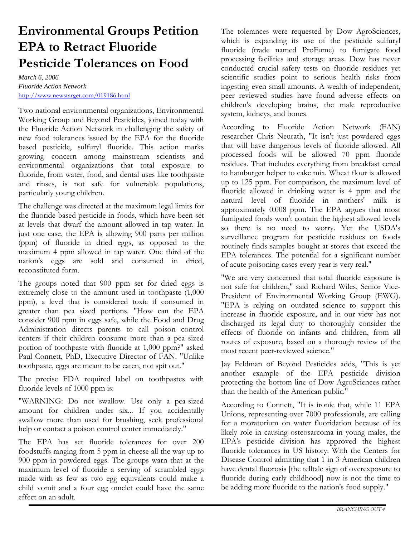## **Environmental Groups Petition EPA to Retract Fluoride Pesticide Tolerances on Food**

*March 6, 2006 Fluoride Action Network*  <http://www.newstarget.com/019186.html>

Two national environmental organizations, Environmental Working Group and Beyond Pesticides, joined today with the Fluoride Action Network in challenging the safety of new food tolerances issued by the EPA for the fluoride based pesticide, sulfuryl fluoride. This action marks growing concern among mainstream scientists and environmental organizations that total exposure to fluoride, from water, food, and dental uses like toothpaste and rinses, is not safe for vulnerable populations, particularly young children.

The challenge was directed at the maximum legal limits for the fluoride-based pesticide in foods, which have been set at levels that dwarf the amount allowed in tap water. In just one case, the EPA is allowing 900 parts per million (ppm) of fluoride in dried eggs, as opposed to the maximum 4 ppm allowed in tap water. One third of the nation's eggs are sold and consumed in dried, reconstituted form.

The groups noted that 900 ppm set for dried eggs is extremely close to the amount used in toothpaste (1,000 ppm), a level that is considered toxic if consumed in greater than pea sized portions. "How can the EPA consider 900 ppm in eggs safe, while the Food and Drug Administration directs parents to call poison control centers if their children consume more than a pea sized portion of toothpaste with fluoride at 1,000 ppm?" asked Paul Connett, PhD, Executive Director of FAN. "Unlike toothpaste, eggs are meant to be eaten, not spit out."

The precise FDA required label on toothpastes with fluoride levels of 1000 ppm is:

"WARNING: Do not swallow. Use only a pea-sized amount for children under six... If you accidentally swallow more than used for brushing, seek professional help or contact a poison control center immediately."

The EPA has set fluoride tolerances for over 200 foodstuffs ranging from 5 ppm in cheese all the way up to 900 ppm in powdered eggs. The groups warn that at the maximum level of fluoride a serving of scrambled eggs made with as few as two egg equivalents could make a child vomit and a four egg omelet could have the same effect on an adult.

The tolerances were requested by Dow AgroSciences, which is expanding its use of the pesticide sulfuryl fluoride (trade named ProFume) to fumigate food processing facilities and storage areas. Dow has never conducted crucial safety tests on fluoride residues yet scientific studies point to serious health risks from ingesting even small amounts. A wealth of independent, peer reviewed studies have found adverse effects on children's developing brains, the male reproductive system, kidneys, and bones.

According to Fluoride Action Network (FAN) researcher Chris Neurath, "It isn't just powdered eggs that will have dangerous levels of fluoride allowed. All processed foods will be allowed 70 ppm fluoride residues. That includes everything from breakfast cereal to hamburger helper to cake mix. Wheat flour is allowed up to 125 ppm. For comparison, the maximum level of fluoride allowed in drinking water is 4 ppm and the natural level of fluoride in mothers' milk is approximately 0.008 ppm. The EPA argues that most fumigated foods won't contain the highest allowed levels so there is no need to worry. Yet the USDA's surveillance program for pesticide residues on foods routinely finds samples bought at stores that exceed the EPA tolerances. The potential for a significant number of acute poisoning cases every year is very real."

"We are very concerned that total fluoride exposure is not safe for children," said Richard Wiles, Senior Vice-President of Environmental Working Group (EWG). "EPA is relying on outdated science to support this increase in fluoride exposure, and in our view has not discharged its legal duty to thoroughly consider the effects of fluoride on infants and children, from all routes of exposure, based on a thorough review of the most recent peer-reviewed science."

Jay Feldman of Beyond Pesticides adds, "This is yet another example of the EPA pesticide division protecting the bottom line of Dow AgroSciences rather than the health of the American public."

According to Connett, "It is ironic that, while 11 EPA Unions, representing over 7000 professionals, are calling for a moratorium on water fluoridation because of its likely role in causing osteosarcoma in young males, the EPA's pesticide division has approved the highest fluoride tolerances in US history. With the Centers for Disease Control admitting that 1 in 3 American children have dental fluorosis [the telltale sign of overexposure to fluoride during early childhood] now is not the time to be adding more fluoride to the nation's food supply."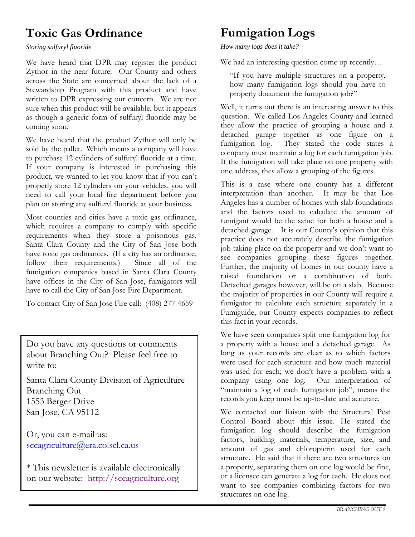## **Toxic Gas Ordinance**

*Storing sulfuryl fluoride* 

We have heard that DPR may register the product Zythor in the near future. Our County and others across the State are concerned about the lack of a Stewardship Program with this product and have written to DPR expressing our concern. We are not sure when this product will be available, but it appears as though a generic form of sulfuryl fluoride may be coming soon.

We have heard that the product Zythor will only be sold by the pallet. Which means a company will have to purchase 12 cylinders of sulfuryl fluoride at a time. If your company is interested in purchasing this product, we wanted to let you know that if you can't properly store 12 cylinders on your vehicles, you will need to call your local fire department before you plan on storing any sulfuryl fluoride at your business.

Most counties and cities have a toxic gas ordinance, which requires a company to comply with specific requirements when they store a poisonous gas. Santa Clara County and the City of San Jose both have toxic gas ordinances. (If a city has an ordinance, follow their requirements.) Since all of the fumigation companies based in Santa Clara County have offices in the City of San Jose, fumigators will have to call the City of San Jose Fire Department.

To contact City of San Jose Fire call: (408) 277-4659

Do you have any questions or comments about Branching Out? Please feel free to write to:

Santa Clara County Division of Agriculture Branching Out 1553 Berger Drive San Jose, CA 95112

Or, you can e-mail us: [sccagriculture@era.co.scl.ca.us](mailto:sccagriculture@era.co.scl.ca.us)

\* This newsletter is available electronically on our website: http://sccagriculture.org

## **Fumigation Logs**

*How many logs does it take?* 

We had an interesting question come up recently…

"If you have multiple structures on a property, how many fumigation logs should you have to properly document the fumigation job?"

Well, it turns out there is an interesting answer to this question. We called Los Angeles County and learned they allow the practice of grouping a house and a detached garage together as one figure on a fumigation log. They stated the code states a company must maintain a log for each fumigation job. If the fumigation will take place on one property with one address, they allow a grouping of the figures.

This is a case where one county has a different interpretation than another. It may be that Los Angeles has a number of homes with slab foundations and the factors used to calculate the amount of fumigant would be the same for both a house and a detached garage. It is our County's opinion that this practice does not accurately describe the fumigation job taking place on the property and we don't want to see companies grouping these figures together. Further, the majority of homes in our county have a raised foundation or a combination of both. Detached garages however, will be on a slab. Because the majority of properties in our County will require a fumigator to calculate each structure separately in a Fumiguide, our County expects companies to reflect this fact in your records.

We have seen companies split one fumigation log for a property with a house and a detached garage. As long as your records are clear as to which factors were used for each structure and how much material was used for each; we don't have a problem with a company using one log. Our interpretation of "maintain a log of each fumigation job", means the records you keep must be up-to-date and accurate.

We contacted our liaison with the Structural Pest Control Board about this issue. He stated the fumigation log should describe the fumigation factors, building materials, temperature, size, and amount of gas and chloropicrin used for each structure. He said that if there are two structures on a property, separating them on one log would be fine, or a licensee can generate a log for each. He does not want to see companies combining factors for two structures on one log.